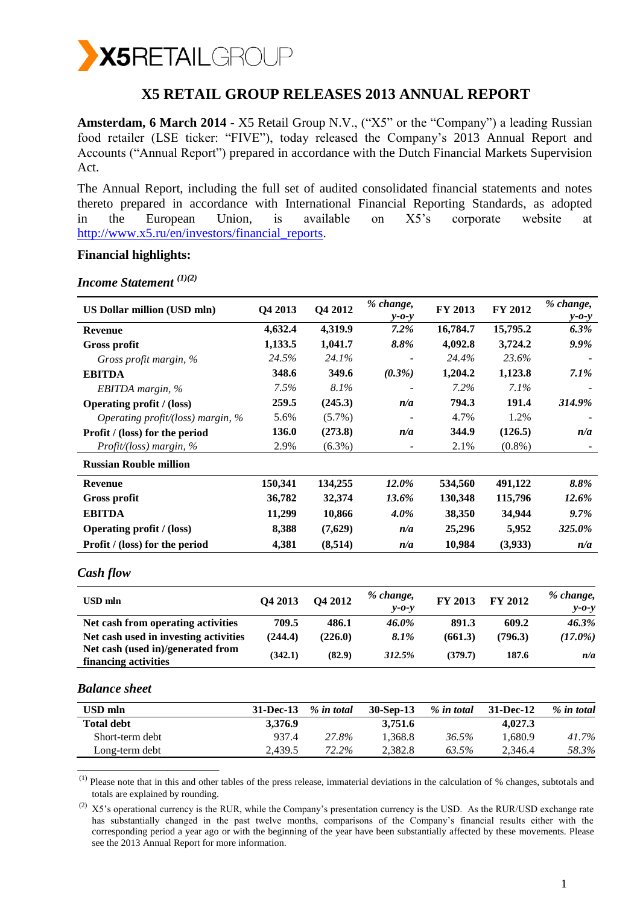

# **X5 RETAIL GROUP RELEASES 2013 ANNUAL REPORT**

**Amsterdam, 6 March 2014 -** X5 Retail Group N.V., ("X5" or the "Company") a leading Russian food retailer (LSE ticker: "FIVE"), today released the Company's 2013 Annual Report and Accounts ("Annual Report") prepared in accordance with the Dutch Financial Markets Supervision Act.

The Annual Report, including the full set of audited consolidated financial statements and notes thereto prepared in accordance with International Financial Reporting Standards, as adopted in the European Union, is available on X5's corporate website at [http://www.x5.ru/en/investors/financial\\_reports.](http://www.x5.ru/en/investors/financial_reports)

### **Financial highlights:**

| <b>US Dollar million (USD mln)</b>                        | Q4 2013 | Q4 2012   | % change,<br>$y - 0 - y$ | FY 2013  | FY 2012   | % change,<br>$y - 0 - y$ |
|-----------------------------------------------------------|---------|-----------|--------------------------|----------|-----------|--------------------------|
| <b>Revenue</b>                                            | 4,632.4 | 4,319.9   | 7.2%                     | 16,784.7 | 15,795.2  | 6.3%                     |
| <b>Gross profit</b>                                       | 1,133.5 | 1,041.7   | 8.8%                     | 4,092.8  | 3,724.2   | 9.9%                     |
| Gross profit margin, %                                    | 24.5%   | 24.1%     |                          | 24.4%    | 23.6%     |                          |
| <b>EBITDA</b>                                             | 348.6   | 349.6     | (0.3%)                   | 1,204.2  | 1,123.8   | $7.1\%$                  |
| EBITDA margin, %                                          | 7.5%    | 8.1%      |                          | 7.2%     | $7.1\%$   |                          |
| <b>Operating profit / (loss)</b>                          | 259.5   | (245.3)   | n/a                      | 794.3    | 191.4     | 314.9%                   |
| Operating profit/(loss) margin, %                         | 5.6%    | $(5.7\%)$ |                          | 4.7%     | 1.2%      |                          |
| Profit / (loss) for the period                            | 136.0   | (273.8)   | n/a                      | 344.9    | (126.5)   | n/a                      |
| Profit/(loss) margin, %                                   | 2.9%    | $(6.3\%)$ |                          | 2.1%     | $(0.8\%)$ |                          |
| <b>Russian Rouble million</b>                             |         |           |                          |          |           |                          |
| <b>Revenue</b>                                            | 150,341 | 134,255   | 12.0%                    | 534,560  | 491,122   | 8.8%                     |
| Gross profit                                              | 36,782  | 32,374    | 13.6%                    | 130,348  | 115,796   | 12.6%                    |
| <b>EBITDA</b>                                             | 11,299  | 10,866    | 4.0%                     | 38,350   | 34,944    | 9.7%                     |
| <b>Operating profit</b> / (loss)                          | 8,388   | (7,629)   | n/a                      | 25,296   | 5,952     | 325.0%                   |
| Profit / (loss) for the period                            | 4,381   | (8,514)   | n/a                      | 10,984   | (3,933)   | n/a                      |
| Cash flow                                                 |         |           |                          |          |           |                          |
| <b>USD</b> mln                                            | Q4 2013 | Q4 2012   | % change,<br>$y - 0 - y$ | FY 2013  | FY 2012   | % change,<br>$y - 0 - y$ |
| Net cash from operating activities                        | 709.5   | 486.1     | 46.0%                    | 891.3    | 609.2     | 46.3%                    |
| Net cash used in investing activities                     | (244.4) | (226.0)   | 8.1%                     | (661.3)  | (796.3)   | $(17.0\%)$               |
| Net cash (used in)/generated from<br>financing activities | (342.1) | (82.9)    | 312.5%                   | (379.7)  | 187.6     | n/a                      |

## *Income Statement (1)(2)*

#### *Balance sheet*

| USD mln           | $31$ -Dec-13 | % in total | $30-Sep-13$ | % in total | 31-Dec-12 | % in total |
|-------------------|--------------|------------|-------------|------------|-----------|------------|
| <b>Total debt</b> | 3.376.9      |            | 3,751.6     |            | 4.027.3   |            |
| Short-term debt   | 937.4        | 27.8%      | 1,368.8     | 36.5%      | 1.680.9   | 41.7%      |
| Long-term debt    | 2.439.5      | 72.2%      | 2.382.8     | 63.5%      | 2.346.4   | 58.3%      |
|                   |              |            |             |            |           |            |

 $<sup>(1)</sup>$  Please note that in this and other tables of the press release, immaterial deviations in the calculation of % changes, subtotals and</sup> totals are explained by rounding.

 $^{(2)}$  X5's operational currency is the RUR, while the Company's presentation currency is the USD. As the RUR/USD exchange rate has substantially changed in the past twelve months, comparisons of the Company's financial results either with the corresponding period a year ago or with the beginning of the year have been substantially affected by these movements. Please see the 2013 Annual Report for more information.